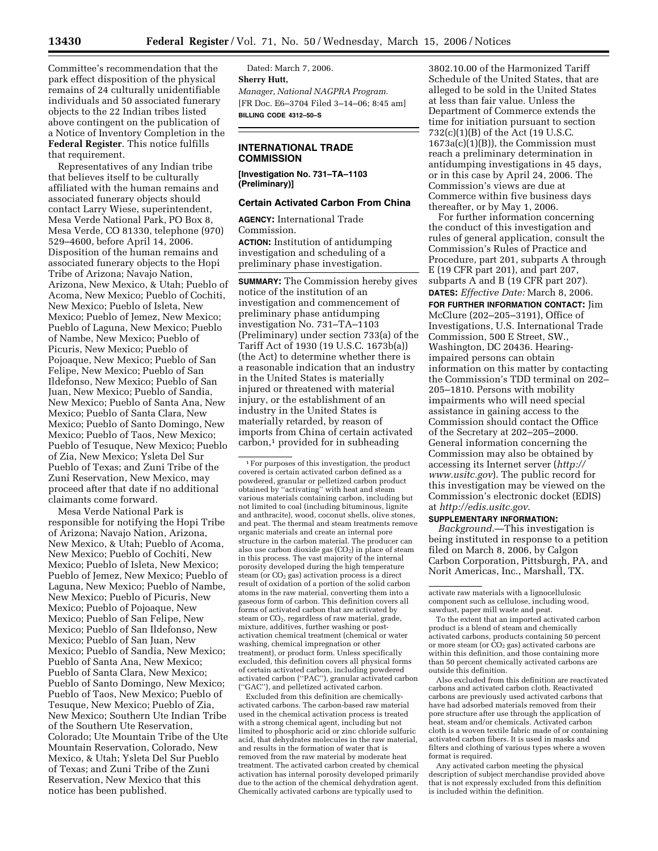Committee's recommendation that the park effect disposition of the physical remains of 24 culturally unidentifiable individuals and 50 associated funerary objects to the 22 Indian tribes listed above contingent on the publication of a Notice of Inventory Completion in the **Federal Register**. This notice fulfills that requirement.

Representatives of any Indian tribe that believes itself to be culturally affiliated with the human remains and associated funerary objects should contact Larry Wiese, superintendent, Mesa Verde National Park, PO Box 8, Mesa Verde, CO 81330, telephone (970) 529–4600, before April 14, 2006. Disposition of the human remains and associated funerary objects to the Hopi Tribe of Arizona; Navajo Nation, Arizona, New Mexico, & Utah; Pueblo of Acoma, New Mexico; Pueblo of Cochiti, New Mexico; Pueblo of Isleta, New Mexico; Pueblo of Jemez, New Mexico; Pueblo of Laguna, New Mexico; Pueblo of Nambe, New Mexico; Pueblo of Picuris, New Mexico; Pueblo of Pojoaque, New Mexico; Pueblo of San Felipe, New Mexico; Pueblo of San Ildefonso, New Mexico; Pueblo of San Juan, New Mexico; Pueblo of Sandia, New Mexico; Pueblo of Santa Ana, New Mexico; Pueblo of Santa Clara, New Mexico; Pueblo of Santo Domingo, New Mexico; Pueblo of Taos, New Mexico; Pueblo of Tesuque, New Mexico; Pueblo of Zia, New Mexico; Ysleta Del Sur Pueblo of Texas; and Zuni Tribe of the Zuni Reservation, New Mexico, may proceed after that date if no additional claimants come forward.

Mesa Verde National Park is responsible for notifying the Hopi Tribe of Arizona; Navajo Nation, Arizona, New Mexico, & Utah; Pueblo of Acoma, New Mexico; Pueblo of Cochiti, New Mexico; Pueblo of Isleta, New Mexico; Pueblo of Jemez, New Mexico; Pueblo of Laguna, New Mexico; Pueblo of Nambe, New Mexico; Pueblo of Picuris, New Mexico; Pueblo of Pojoaque, New Mexico; Pueblo of San Felipe, New Mexico; Pueblo of San Ildefonso, New Mexico; Pueblo of San Juan, New Mexico; Pueblo of Sandia, New Mexico; Pueblo of Santa Ana, New Mexico; Pueblo of Santa Clara, New Mexico; Pueblo of Santo Domingo, New Mexico; Pueblo of Taos, New Mexico; Pueblo of Tesuque, New Mexico; Pueblo of Zia, New Mexico; Southern Ute Indian Tribe of the Southern Ute Reservation, Colorado; Ute Mountain Tribe of the Ute Mountain Reservation, Colorado, New Mexico, & Utah; Ysleta Del Sur Pueblo of Texas; and Zuni Tribe of the Zuni Reservation, New Mexico that this notice has been published.

Dated: March 7, 2006. **Sherry Hutt,**  *Manager, National NAGPRA Program.*  [FR Doc. E6–3704 Filed 3–14–06; 8:45 am] **BILLING CODE 4312–50–S** 

## **INTERNATIONAL TRADE COMMISSION**

**[Investigation No. 731–TA–1103 (Preliminary)]** 

#### **Certain Activated Carbon From China**

**AGENCY:** International Trade Commission.

**ACTION:** Institution of antidumping investigation and scheduling of a preliminary phase investigation.

**SUMMARY:** The Commission hereby gives notice of the institution of an investigation and commencement of preliminary phase antidumping investigation No. 731–TA–1103 (Preliminary) under section 733(a) of the Tariff Act of 1930 (19 U.S.C. 1673b(a)) (the Act) to determine whether there is a reasonable indication that an industry in the United States is materially injured or threatened with material injury, or the establishment of an industry in the United States is materially retarded, by reason of imports from China of certain activated carbon,<sup>1</sup> provided for in subheading

1For purposes of this investigation, the product covered is certain activated carbon defined as a powdered, granular or pelletized carbon product obtained by ''activating'' with heat and steam various materials containing carbon, including but not limited to coal (including bituminous, lignite and anthracite), wood, coconut shells, olive stones, and peat. The thermal and steam treatments remove organic materials and create an internal pore structure in the carbon material. The producer can also use carbon dioxide gas  $(CO<sub>2</sub>)$  in place of steam in this process. The vast majority of the internal porosity developed during the high temperature steam (or  $CO<sub>2</sub>$  gas) activation process is a direct result of oxidation of a portion of the solid carbon atoms in the raw material, converting them into a gaseous form of carbon. This definition covers all forms of activated carbon that are activated by steam or  $CO<sub>2</sub>$ , regardless of raw material, grade, mixture, additives, further washing or postactivation chemical treatment (chemical or water washing, chemical impregnation or other treatment), or product form. Unless specifically excluded, this definition covers all physical forms of certain activated carbon, including powdered activated carbon (''PAC''), granular activated carbon (''GAC''), and pelletized activated carbon.

Excluded from this definition are chemicallyactivated carbons. The carbon-based raw material used in the chemical activation process is treated with a strong chemical agent, including but not limited to phosphoric acid or zinc chloride sulfuric acid, that dehydrates molecules in the raw material, and results in the formation of water that is removed from the raw material by moderate heat treatment. The activated carbon created by chemical activation has internal porosity developed primarily due to the action of the chemical dehydration agent. Chemically activated carbons are typically used to

3802.10.00 of the Harmonized Tariff Schedule of the United States, that are alleged to be sold in the United States at less than fair value. Unless the Department of Commerce extends the time for initiation pursuant to section 732(c)(1)(B) of the Act (19 U.S.C. 1673a(c)(1)(B)), the Commission must reach a preliminary determination in antidumping investigations in 45 days, or in this case by April 24, 2006. The Commission's views are due at Commerce within five business days thereafter, or by May 1, 2006.

For further information concerning the conduct of this investigation and rules of general application, consult the Commission's Rules of Practice and Procedure, part 201, subparts A through E (19 CFR part 201), and part 207, subparts A and B (19 CFR part 207).

**DATES:** *Effective Date:* March 8, 2006. **FOR FURTHER INFORMATION CONTACT:** Jim McClure (202–205–3191), Office of Investigations, U.S. International Trade Commission, 500 E Street, SW., Washington, DC 20436. Hearingimpaired persons can obtain information on this matter by contacting the Commission's TDD terminal on 202– 205–1810. Persons with mobility impairments who will need special assistance in gaining access to the Commission should contact the Office of the Secretary at 202–205–2000. General information concerning the Commission may also be obtained by accessing its Internet server (*http:// www.usitc.gov*). The public record for this investigation may be viewed on the Commission's electronic docket (EDIS) at *http://edis.usitc.gov*.

# **SUPPLEMENTARY INFORMATION:**

*Background*.—This investigation is being instituted in response to a petition filed on March 8, 2006, by Calgon Carbon Corporation, Pittsburgh, PA, and Norit Americas, Inc., Marshall, TX.

Also excluded from this definition are reactivated carbons and activated carbon cloth. Reactivated carbons are previously used activated carbons that have had adsorbed materials removed from their pore structure after use through the application of heat, steam and/or chemicals. Activated carbon cloth is a woven textile fabric made of or containing activated carbon fibers. It is used in masks and filters and clothing of various types where a woven format is required.

Any activated carbon meeting the physical description of subject merchandise provided above that is not expressly excluded from this definition is included within the definition.

activate raw materials with a lignocellulosic component such as cellulose, including wood, sawdust, paper mill waste and peat.

To the extent that an imported activated carbon product is a blend of steam and chemically activated carbons, products containing 50 percent<br>or more steam (or CO<sub>2</sub> gas) activated carbons are within this definition, and those containing more than 50 percent chemically activated carbons are outside this definition.